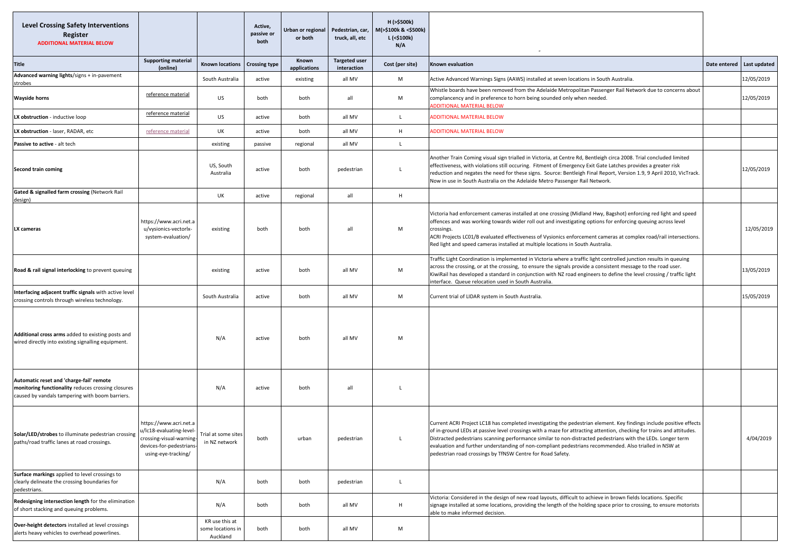| <b>Level Crossing Safety Interventions</b><br>Register<br><b>ADDITIONAL MATERIAL BELOW</b>                                                        |                                                                                                                                   |                                                 | Active,<br>passive or<br>both | Urban or regional<br>or both | Pedestrian, car,<br>truck, all, etc | H (>\$500k)<br>M(>\$100k & <\$500k)<br>L (<\$100k)<br>N/A |                                                                                                                                                                                                                                                                                                                                                                                                                                                                                                                                      |  |                              |
|---------------------------------------------------------------------------------------------------------------------------------------------------|-----------------------------------------------------------------------------------------------------------------------------------|-------------------------------------------------|-------------------------------|------------------------------|-------------------------------------|-----------------------------------------------------------|--------------------------------------------------------------------------------------------------------------------------------------------------------------------------------------------------------------------------------------------------------------------------------------------------------------------------------------------------------------------------------------------------------------------------------------------------------------------------------------------------------------------------------------|--|------------------------------|
| <b>Title</b>                                                                                                                                      | <b>Supporting material</b><br>(online)                                                                                            | <b>Known locations</b>                          | <b>Crossing type</b>          | Known<br>applications        | <b>Targeted user</b><br>interaction | Cost (per site)                                           | <b>Known evaluation</b>                                                                                                                                                                                                                                                                                                                                                                                                                                                                                                              |  | Date entered<br>Last updated |
| Advanced warning lights/signs + in-pavement<br>strobes                                                                                            |                                                                                                                                   | South Australia                                 | active                        | existing                     | all MV                              | M                                                         | Active Advanced Warnings Signs (AAWS) installed at seven locations in South Australia.                                                                                                                                                                                                                                                                                                                                                                                                                                               |  | 12/05/2019                   |
| <b>Wayside horns</b>                                                                                                                              | reference material                                                                                                                | US                                              | both                          | both                         | all                                 | M                                                         | Whistle boards have been removed from the Adelaide Metropolitan Passenger Rail Network due to concerns about<br>complancency and in preference to horn being sounded only when needed.<br><b>ADDITIONAL MATERIAL BELOW</b>                                                                                                                                                                                                                                                                                                           |  | 12/05/2019                   |
| LX obstruction - inductive loop                                                                                                                   | reference material                                                                                                                | US                                              | active                        | both                         | all MV                              | L.                                                        | <b>ADDITIONAL MATERIAL BELOW</b>                                                                                                                                                                                                                                                                                                                                                                                                                                                                                                     |  |                              |
| LX obstruction - laser, RADAR, etc                                                                                                                | reference material                                                                                                                | UK                                              | active                        | both                         | all MV                              | H                                                         | <b>ADDITIONAL MATERIAL BELOW</b>                                                                                                                                                                                                                                                                                                                                                                                                                                                                                                     |  |                              |
| Passive to active - alt tech                                                                                                                      |                                                                                                                                   | existing                                        | passive                       | regional                     | all MV                              | $\mathbf{L}$                                              |                                                                                                                                                                                                                                                                                                                                                                                                                                                                                                                                      |  |                              |
| <b>Second train coming</b>                                                                                                                        |                                                                                                                                   | US, South<br>Australia                          | active                        | both                         | pedestrian                          | <b>L</b>                                                  | Another Train Coming visual sign trialled in Victoria, at Centre Rd, Bentleigh circa 2008. Trial concluded limited<br>effectiveness, with violations still occuring. Fitment of Emergency Exit Gate Latches provides a greater risk<br>reduction and negates the need for these signs. Source: Bentleigh Final Report, Version 1.9, 9 April 2010, VicTrack.<br>Now in use in South Australia on the Adelaide Metro Passenger Rail Network.                                                                                           |  | 12/05/2019                   |
| Gated & signalled farm crossing (Network Rail<br>design)                                                                                          |                                                                                                                                   | UK                                              | active                        | regional                     | all                                 | H                                                         |                                                                                                                                                                                                                                                                                                                                                                                                                                                                                                                                      |  |                              |
| LX cameras                                                                                                                                        | https://www.acri.net.a<br>u/vysionics-vectorlx-<br>system-evaluation/                                                             | existing                                        | both                          | both                         | all                                 | M                                                         | Victoria had enforcement cameras installed at one crossing (Midland Hwy, Bagshot) enforcing red light and speed<br>offences and was working towards wider roll out and investigating options for enforcing queuing across level<br>crossings.<br>ACRI Projects LC01/B evaluated effectiveness of Vysionics enforcement cameras at complex road/rail intersections.<br>Red light and speed cameras installed at multiple locations in South Australia.                                                                                |  | 12/05/2019                   |
| Road & rail signal interlocking to prevent queuing                                                                                                |                                                                                                                                   | existing                                        | active                        | both                         | all MV                              | M                                                         | Traffic Light Coordination is implemented in Victoria where a traffic light controlled junction results in queuing<br>across the crossing, or at the crossing, to ensure the signals provide a consistent message to the road user.<br>KiwiRail has developed a standard in conjunction with NZ road engineers to define the level crossing / traffic light<br>interface. Queue relocation used in South Australia.                                                                                                                  |  | 13/05/2019                   |
| Interfacing adjacent traffic signals with active level<br>crossing controls through wireless technology.                                          |                                                                                                                                   | South Australia                                 | active                        | both                         | all MV                              | M                                                         | Current trial of LIDAR system in South Australia.                                                                                                                                                                                                                                                                                                                                                                                                                                                                                    |  | 15/05/2019                   |
| Additional cross arms added to existing posts and<br>wired directly into existing signalling equipment.                                           |                                                                                                                                   | N/A                                             | active                        | both                         | all MV                              | M                                                         |                                                                                                                                                                                                                                                                                                                                                                                                                                                                                                                                      |  |                              |
| Automatic reset and 'charge-fail' remote<br>monitoring functionality reduces crossing closures<br>caused by vandals tampering with boom barriers. |                                                                                                                                   | N/A                                             | active                        | both                         | all                                 | <b>L</b>                                                  |                                                                                                                                                                                                                                                                                                                                                                                                                                                                                                                                      |  |                              |
| Solar/LED/strobes to illuminate pedestrian crossing<br>paths/road traffic lanes at road crossings.                                                | https://www.acri.net.a<br>u/lc18-evaluating-level-<br>crossing-visual-warning-<br>devices-for-pedestrians-<br>using-eye-tracking/ | Trial at some sites<br>in NZ network            | both                          | urban                        | pedestrian                          | $\mathsf{L}$                                              | Current ACRI Project LC18 has completed investigating the pedestrian element. Key findings include positive effects<br>of in-ground LEDs at passive level crossings with a maze for attracting attention, checking for trains and attitudes.<br>Distracted pedestrians scanning performance similar to non-distracted pedestrians with the LEDs. Longer term<br>evaluation and further understanding of non-compliant pedestrians recommended. Also trialled in NSW at<br>pedestrian road crossings by TfNSW Centre for Road Safety. |  | 4/04/2019                    |
| Surface markings applied to level crossings to<br>clearly delineate the crossing boundaries for<br>pedestrians.                                   |                                                                                                                                   | N/A                                             | both                          | both                         | pedestrian                          | $\mathsf L$                                               |                                                                                                                                                                                                                                                                                                                                                                                                                                                                                                                                      |  |                              |
| Redesigning intersection length for the elimination<br>of short stacking and queuing problems.                                                    |                                                                                                                                   | N/A                                             | both                          | both                         | all MV                              | H                                                         | Victoria: Considered in the design of new road layouts, difficult to achieve in brown fields locations. Specific<br>signage installed at some locations, providing the length of the holding space prior to crossing, to ensure motorists<br>able to make informed decision.                                                                                                                                                                                                                                                         |  |                              |
| Over-height detectors installed at level crossings<br>alerts heavy vehicles to overhead powerlines.                                               |                                                                                                                                   | KR use this at<br>some locations in<br>Auckland | both                          | both                         | all MV                              | M                                                         |                                                                                                                                                                                                                                                                                                                                                                                                                                                                                                                                      |  |                              |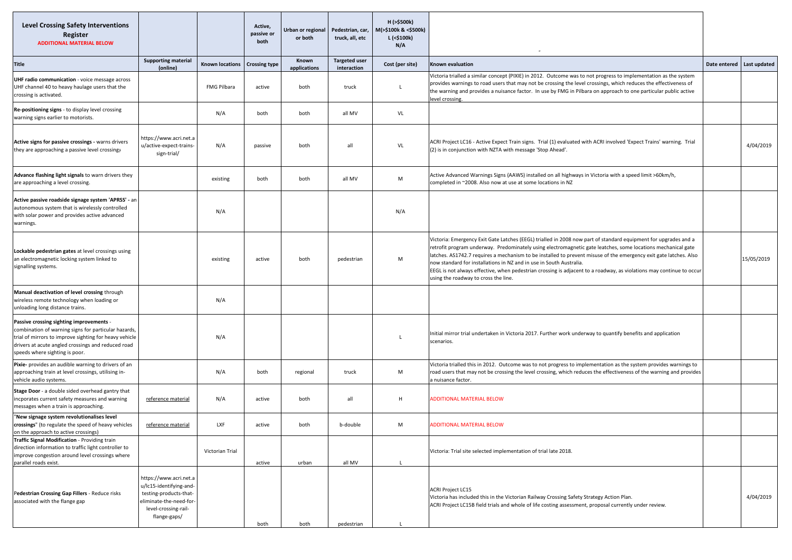| <b>Level Crossing Safety Interventions</b><br>Register<br><b>ADDITIONAL MATERIAL BELOW</b>                                                                                                                                                         |                                                                                                                                                |                        | Active,<br>passive or<br>both | Urban or regional<br>or both | Pedestrian, car,<br>truck, all, etc | H (>\$500k)<br>M(>\$100k & <\$500k)<br>L (<\$100k)<br>N/A |                                                                                                                                                                                                                                                                                                                                                                                                                                                                                                                                                                                             |  |                              |
|----------------------------------------------------------------------------------------------------------------------------------------------------------------------------------------------------------------------------------------------------|------------------------------------------------------------------------------------------------------------------------------------------------|------------------------|-------------------------------|------------------------------|-------------------------------------|-----------------------------------------------------------|---------------------------------------------------------------------------------------------------------------------------------------------------------------------------------------------------------------------------------------------------------------------------------------------------------------------------------------------------------------------------------------------------------------------------------------------------------------------------------------------------------------------------------------------------------------------------------------------|--|------------------------------|
| <b>Title</b>                                                                                                                                                                                                                                       | <b>Supporting material</b><br>(online)                                                                                                         | <b>Known locations</b> | <b>Crossing type</b>          | Known<br>applications        | <b>Targeted user</b><br>interaction | Cost (per site)                                           | <b>Known evaluation</b>                                                                                                                                                                                                                                                                                                                                                                                                                                                                                                                                                                     |  | Date entered<br>Last updated |
| UHF radio communication - voice message across<br>UHF channel 40 to heavy haulage users that the<br>crossing is activated.                                                                                                                         |                                                                                                                                                | FMG Pilbara            | active                        | both                         | truck                               | L                                                         | Victoria trialled a similar concept (PIXIE) in 2012. Outcome was to not progress to implementation as the system<br>provides warnings to road users that may not be crossing the level crossings, which reduces the effectiveness of<br>the warning and provides a nuisance factor. In use by FMG in Pilbara on approach to one particular public active<br>evel crossing.                                                                                                                                                                                                                  |  |                              |
| Re-positioning signs - to display level crossing<br>warning signs earlier to motorists.                                                                                                                                                            |                                                                                                                                                | N/A                    | both                          | both                         | all MV                              | VL                                                        |                                                                                                                                                                                                                                                                                                                                                                                                                                                                                                                                                                                             |  |                              |
| Active signs for passive crossings - warns drivers<br>they are approaching a passive level crossing;                                                                                                                                               | https://www.acri.net.a<br>u/active-expect-trains-<br>sign-trial/                                                                               | N/A                    | passive                       | both                         | all                                 | VL                                                        | ACRI Project LC16 - Active Expect Train signs. Trial (1) evaluated with ACRI involved 'Expect Trains' warning. Trial<br>(2) is in conjunction with NZTA with message 'Stop Ahead'.                                                                                                                                                                                                                                                                                                                                                                                                          |  | 4/04/2019                    |
| Advance flashing light signals to warn drivers they<br>are approaching a level crossing.                                                                                                                                                           |                                                                                                                                                | existing               | both                          | both                         | all MV                              | M                                                         | Active Advanced Warnings Signs (AAWS) installed on all highways in Victoria with a speed limit >60km/h,<br>completed in ~2008. Also now at use at some locations in NZ                                                                                                                                                                                                                                                                                                                                                                                                                      |  |                              |
| Active passive roadside signage system 'APRSS' - an<br>autonomous system that is wirelessly controlled<br>with solar power and provides active advanced<br>warnings.                                                                               |                                                                                                                                                | N/A                    |                               |                              |                                     | N/A                                                       |                                                                                                                                                                                                                                                                                                                                                                                                                                                                                                                                                                                             |  |                              |
| Lockable pedestrian gates at level crossings using<br>an electromagnetic locking system linked to<br>signalling systems.                                                                                                                           |                                                                                                                                                | existing               | active                        | both                         | pedestrian                          | M                                                         | Victoria: Emergency Exit Gate Latches (EEGL) trialled in 2008 now part of standard equipment for upgrades and a<br>retrofit program underway. Predominately using electromagnetic gate leatches, some locations mechanical gate<br>latches. AS1742.7 requires a mechanism to be installed to prevent misuse of the emergency exit gate latches. Also<br>now standard for installations in NZ and in use in South Australia.<br>EEGL is not always effective, when pedestrian crossing is adjacent to a roadway, as violations may continue to occur<br>using the roadway to cross the line. |  | 15/05/2019                   |
| Manual deactivation of level crossing through<br>wireless remote technology when loading or<br>unloading long distance trains.                                                                                                                     |                                                                                                                                                | N/A                    |                               |                              |                                     |                                                           |                                                                                                                                                                                                                                                                                                                                                                                                                                                                                                                                                                                             |  |                              |
| Passive crossing sighting improvements -<br>combination of warning signs for particular hazards,<br>trial of mirrors to improve sighting for heavy vehicle<br>drivers at acute angled crossings and reduced road<br>speeds where sighting is poor. |                                                                                                                                                | N/A                    |                               |                              |                                     | $\mathbf{I}$                                              | Initial mirror trial undertaken in Victoria 2017. Further work underway to quantify benefits and application<br>scenarios.                                                                                                                                                                                                                                                                                                                                                                                                                                                                  |  |                              |
| Pixie- provides an audible warning to drivers of an<br>approaching train at level crossings, utilising in-<br>vehicle audio systems.                                                                                                               |                                                                                                                                                | N/A                    | both                          | regional                     | truck                               | M                                                         | Victoria trialled this in 2012. Outcome was to not progress to implementation as the system provides warnings to<br>road users that may not be crossing the level crossing, which reduces the effectiveness of the warning and provides<br>a nuisance factor.                                                                                                                                                                                                                                                                                                                               |  |                              |
| Stage Door - a double sided overhead gantry that<br>incporates current safety measures and warning<br>messages when a train is approaching.                                                                                                        | reference material                                                                                                                             | N/A                    | active                        | both                         | all                                 | H                                                         | <b>ADDITIONAL MATERIAL BELOW</b>                                                                                                                                                                                                                                                                                                                                                                                                                                                                                                                                                            |  |                              |
| "New signage system revolutionalises level<br>crossings" (to regulate the speed of heavy vehicles<br>on the approach to active crossings)                                                                                                          | reference material                                                                                                                             | LXF                    | active                        | both                         | b-double                            | M                                                         | ADDITIONAL MATERIAL BELOW                                                                                                                                                                                                                                                                                                                                                                                                                                                                                                                                                                   |  |                              |
| Traffic Signal Modification - Providing train<br>direction information to traffic light controller to<br>improve congestion around level crossings where<br>parallel roads exist.                                                                  |                                                                                                                                                | Victorian Trial        | active                        | urban                        | all MV                              |                                                           | Victoria: Trial site selected implementation of trial late 2018.                                                                                                                                                                                                                                                                                                                                                                                                                                                                                                                            |  |                              |
| Pedestrian Crossing Gap Fillers - Reduce risks<br>associated with the flange gap                                                                                                                                                                   | https://www.acri.net.a<br>u/lc15-identifying-and-<br>testing-products-that-<br>eliminate-the-need-for-<br>level-crossing-rail-<br>flange-gaps/ |                        | both                          | both                         | pedestrian                          |                                                           | <b>ACRI Project LC15</b><br>Victoria has included this in the Victorian Railway Crossing Safety Strategy Action Plan.<br>ACRI Project LC15B field trials and whole of life costing assessment, proposal currently under review.                                                                                                                                                                                                                                                                                                                                                             |  | 4/04/2019                    |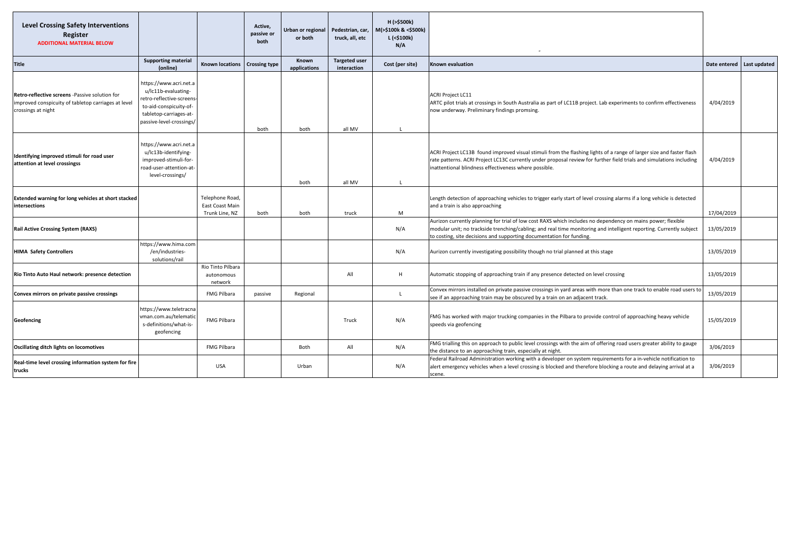| <b>Level Crossing Safety Interventions</b><br>Register<br><b>ADDITIONAL MATERIAL BELOW</b>                                  |                                                                                                                                                            |                                                      | Active,<br>passive or<br>both | Urban or regional<br>or both | Pedestrian, car,<br>truck, all, etc | H (>\$500k)<br>M(>\$100k & <\$500k)<br>L (<\$100k)<br>N/A |                                                                                                                                                                                                                                                                                                            |              |              |
|-----------------------------------------------------------------------------------------------------------------------------|------------------------------------------------------------------------------------------------------------------------------------------------------------|------------------------------------------------------|-------------------------------|------------------------------|-------------------------------------|-----------------------------------------------------------|------------------------------------------------------------------------------------------------------------------------------------------------------------------------------------------------------------------------------------------------------------------------------------------------------------|--------------|--------------|
| <b>Title</b>                                                                                                                | <b>Supporting material</b><br>(online)                                                                                                                     | <b>Known locations</b>                               | <b>Crossing type</b>          | Known<br>applications        | <b>Targeted user</b><br>interaction | Cost (per site)                                           | Known evaluation                                                                                                                                                                                                                                                                                           | Date entered | Last updated |
| Retro-reflective screens -Passive solution for<br>improved conspicuity of tabletop carriages at level<br>crossings at night | nttps://www.acri.net.a<br>u/lc11b-evaluating-<br>retro-reflective-screens-<br>to-aid-conspicuity-of-<br>tabletop-carriages-at-<br>passive-level-crossings/ |                                                      | both                          | both                         | all MV                              |                                                           | <b>ACRI Project LC11</b><br>ARTC pilot trials at crossings in South Australia as part of LC11B project. Lab experiments to confirm effectiveness<br>now underway. Preliminary findings promsing.                                                                                                           | 4/04/2019    |              |
| Identifying improved stimuli for road user<br>attention at level crossingss                                                 | https://www.acri.net.a<br>u/lc13b-identifying-<br>improved-stimuli-for-<br>road-user-attention-at-<br>level-crossings/                                     |                                                      |                               | both                         | all MV                              |                                                           | ACRI Project LC13B found improved visual stimuli from the flashing lights of a range of larger size and faster flash<br>rate patterns. ACRI Project LC13C currently under proposal review for further field trials and simulations including<br>inattentional blindness effectiveness where possible.      | 4/04/2019    |              |
| Extended warning for long vehicles at short stacked<br>intersections                                                        |                                                                                                                                                            | Telephone Road,<br>East Coast Main<br>Trunk Line, NZ | both                          | both                         | truck                               | M                                                         | Length detection of approaching vehicles to trigger early start of level crossing alarms if a long vehicle is detected<br>and a train is also approaching                                                                                                                                                  | 17/04/2019   |              |
| <b>Rail Active Crossing System (RAXS)</b>                                                                                   |                                                                                                                                                            |                                                      |                               |                              |                                     | N/A                                                       | Aurizon currently planning for trial of low cost RAXS which includes no dependency on mains power; flexible<br>modular unit; no trackside trenching/cabling; and real time monitoring and intelligent reporting. Currently subject<br>to costing, site decisions and supporting documentation for funding. | 13/05/2019   |              |
| <b>HIMA Safety Controllers</b>                                                                                              | https://www.hima.com<br>/en/industries-<br>solutions/rail                                                                                                  |                                                      |                               |                              |                                     | N/A                                                       | Aurizon currently investigating possibility though no trial planned at this stage                                                                                                                                                                                                                          | 13/05/2019   |              |
| Rio Tinto Auto Haul network: presence detection                                                                             |                                                                                                                                                            | Rio Tinto Pilbara<br>autonomous<br>network           |                               |                              | All                                 | H                                                         | Automatic stopping of approaching train if any presence detected on level crossing                                                                                                                                                                                                                         | 13/05/2019   |              |
| Convex mirrors on private passive crossings                                                                                 |                                                                                                                                                            | FMG Pilbara                                          | passive                       | Regional                     |                                     | $\mathbf{L}$                                              | Convex mirrors installed on private passive crossings in yard areas with more than one track to enable road users to<br>see if an approaching train may be obscured by a train on an adjacent track.                                                                                                       | 13/05/2019   |              |
| Geofencing                                                                                                                  | https://www.teletracna<br>vman.com.au/telematic<br>s-definitions/what-is-<br>geofencing                                                                    | FMG Pilbara                                          |                               |                              | Truck                               | N/A                                                       | FMG has worked with major trucking companies in the Pilbara to provide control of approaching heavy vehicle<br>speeds via geofencing                                                                                                                                                                       |              |              |
| Oscillating ditch lights on locomotives                                                                                     |                                                                                                                                                            | FMG Pilbara                                          |                               | Both                         | All                                 | N/A                                                       | FMG trialling this on approach to public level crossings with the aim of offering road users greater ability to gauge<br>the distance to an approaching train, especially at night.                                                                                                                        | 3/06/2019    |              |
| Real-time level crossing information system for fire<br>trucks                                                              |                                                                                                                                                            | <b>USA</b>                                           |                               | Urban                        |                                     | N/A                                                       | Federal Railroad Administration working with a developer on system requirements for a in-vehicle notification to<br>alert emergency vehicles when a level crossing is blocked and therefore blocking a route and delaying arrival at a<br>scene.                                                           | 3/06/2019    |              |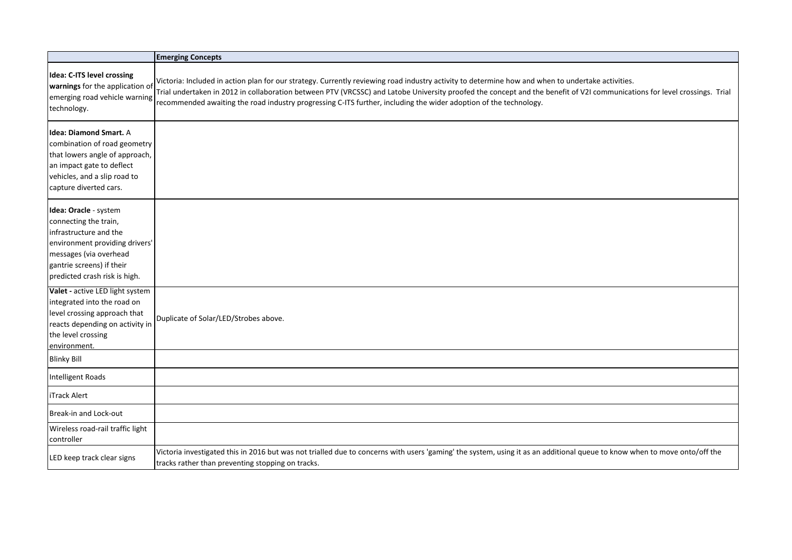|                                                                                                                                                                                                    | <b>Emerging Concepts</b>                                                                                                                                                                                                                                                                                                                                                                                                                            |
|----------------------------------------------------------------------------------------------------------------------------------------------------------------------------------------------------|-----------------------------------------------------------------------------------------------------------------------------------------------------------------------------------------------------------------------------------------------------------------------------------------------------------------------------------------------------------------------------------------------------------------------------------------------------|
| Idea: C-ITS level crossing<br>warnings for the application of<br>emerging road vehicle warning<br>technology.                                                                                      | Victoria: Included in action plan for our strategy. Currently reviewing road industry activity to determine how and when to undertake activities.<br>Trial undertaken in 2012 in collaboration between PTV (VRCSSC) and Latobe University proofed the concept and the benefit of V2I communications for level crossings. Trial<br>recommended awaiting the road industry progressing C-ITS further, including the wider adoption of the technology. |
| <b>Idea: Diamond Smart.</b> A<br>combination of road geometry<br>that lowers angle of approach,<br>an impact gate to deflect<br>vehicles, and a slip road to<br>capture diverted cars.             |                                                                                                                                                                                                                                                                                                                                                                                                                                                     |
| Idea: Oracle - system<br>connecting the train,<br>infrastructure and the<br>environment providing drivers'<br>messages (via overhead<br>gantrie screens) if their<br>predicted crash risk is high. |                                                                                                                                                                                                                                                                                                                                                                                                                                                     |
| Valet - active LED light system<br>integrated into the road on<br>level crossing approach that<br>reacts depending on activity in<br>the level crossing<br>environment.                            | Duplicate of Solar/LED/Strobes above.                                                                                                                                                                                                                                                                                                                                                                                                               |
| <b>Blinky Bill</b>                                                                                                                                                                                 |                                                                                                                                                                                                                                                                                                                                                                                                                                                     |
| Intelligent Roads                                                                                                                                                                                  |                                                                                                                                                                                                                                                                                                                                                                                                                                                     |
| iTrack Alert                                                                                                                                                                                       |                                                                                                                                                                                                                                                                                                                                                                                                                                                     |
| Break-in and Lock-out                                                                                                                                                                              |                                                                                                                                                                                                                                                                                                                                                                                                                                                     |
| Wireless road-rail traffic light<br>controller                                                                                                                                                     |                                                                                                                                                                                                                                                                                                                                                                                                                                                     |
| LED keep track clear signs                                                                                                                                                                         | Victoria investigated this in 2016 but was not trialled due to concerns with users 'gaming' the system, using it as an additional queue to know when to move onto/off the<br>tracks rather than preventing stopping on tracks.                                                                                                                                                                                                                      |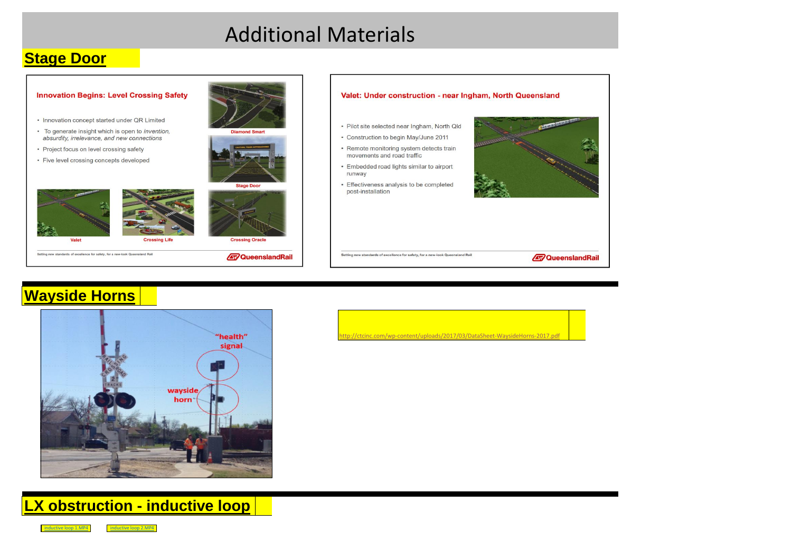# Additional Materials

#### **Stage Door**



### **Wayside Horns**



p://ctcinc.com/wp-content/uploads/2017/03/DataSheet-WaysideHorns-2017.pd

**LX obstruction - inductive loop**